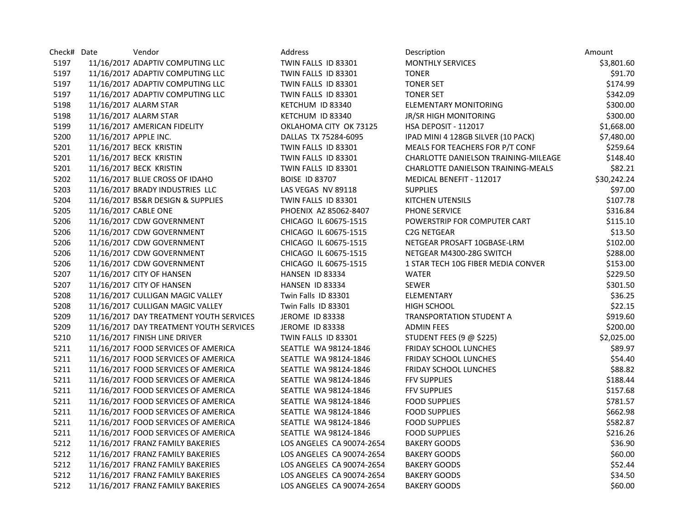| Check# Date |                       | Vendor                                  | Address                   | Description                          | Amount      |
|-------------|-----------------------|-----------------------------------------|---------------------------|--------------------------------------|-------------|
| 5197        |                       | 11/16/2017 ADAPTIV COMPUTING LLC        | TWIN FALLS ID 83301       | <b>MONTHLY SERVICES</b>              | \$3,801.60  |
| 5197        |                       | 11/16/2017 ADAPTIV COMPUTING LLC        | TWIN FALLS ID 83301       | <b>TONER</b>                         | \$91.70     |
| 5197        |                       | 11/16/2017 ADAPTIV COMPUTING LLC        | TWIN FALLS ID 83301       | <b>TONER SET</b>                     | \$174.99    |
| 5197        |                       | 11/16/2017 ADAPTIV COMPUTING LLC        | TWIN FALLS ID 83301       | <b>TONER SET</b>                     | \$342.09    |
| 5198        |                       | 11/16/2017 ALARM STAR                   | KETCHUM ID 83340          | <b>ELEMENTARY MONITORING</b>         | \$300.00    |
| 5198        |                       | 11/16/2017 ALARM STAR                   | KETCHUM ID 83340          | JR/SR HIGH MONITORING                | \$300.00    |
| 5199        |                       | 11/16/2017 AMERICAN FIDELITY            | OKLAHOMA CITY OK 73125    | <b>HSA DEPOSIT - 112017</b>          | \$1,668.00  |
| 5200        | 11/16/2017 APPLE INC. |                                         | DALLAS TX 75284-6095      | IPAD MINI 4 128GB SILVER (10 PACK)   | \$7,480.00  |
| 5201        |                       | 11/16/2017 BECK KRISTIN                 | TWIN FALLS ID 83301       | MEALS FOR TEACHERS FOR P/T CONF      | \$259.64    |
| 5201        |                       | 11/16/2017 BECK KRISTIN                 | TWIN FALLS ID 83301       | CHARLOTTE DANIELSON TRAINING-MILEAGE | \$148.40    |
| 5201        |                       | 11/16/2017 BECK KRISTIN                 | TWIN FALLS ID 83301       | CHARLOTTE DANIELSON TRAINING-MEALS   | \$82.21     |
| 5202        |                       | 11/16/2017 BLUE CROSS OF IDAHO          | <b>BOISE ID 83707</b>     | MEDICAL BENEFIT - 112017             | \$30,242.24 |
| 5203        |                       | 11/16/2017 BRADY INDUSTRIES LLC         | LAS VEGAS NV 89118        | <b>SUPPLIES</b>                      | \$97.00     |
| 5204        |                       | 11/16/2017 BS&R DESIGN & SUPPLIES       | TWIN FALLS ID 83301       | KITCHEN UTENSILS                     | \$107.78    |
| 5205        |                       | 11/16/2017 CABLE ONE                    | PHOENIX AZ 85062-8407     | PHONE SERVICE                        | \$316.84    |
| 5206        |                       | 11/16/2017 CDW GOVERNMENT               | CHICAGO IL 60675-1515     | POWERSTRIP FOR COMPUTER CART         | \$115.10    |
| 5206        |                       | 11/16/2017 CDW GOVERNMENT               | CHICAGO IL 60675-1515     | C2G NETGEAR                          | \$13.50     |
| 5206        |                       | 11/16/2017 CDW GOVERNMENT               | CHICAGO IL 60675-1515     | NETGEAR PROSAFT 10GBASE-LRM          | \$102.00    |
| 5206        |                       | 11/16/2017 CDW GOVERNMENT               | CHICAGO IL 60675-1515     | NETGEAR M4300-28G SWITCH             | \$288.00    |
| 5206        |                       | 11/16/2017 CDW GOVERNMENT               | CHICAGO IL 60675-1515     | 1 STAR TECH 10G FIBER MEDIA CONVER   | \$153.00    |
| 5207        |                       | 11/16/2017 CITY OF HANSEN               | HANSEN ID 83334           | <b>WATER</b>                         | \$229.50    |
| 5207        |                       | 11/16/2017 CITY OF HANSEN               | HANSEN ID 83334           | SEWER                                | \$301.50    |
| 5208        |                       | 11/16/2017 CULLIGAN MAGIC VALLEY        | Twin Falls ID 83301       | ELEMENTARY                           | \$36.25     |
| 5208        |                       | 11/16/2017 CULLIGAN MAGIC VALLEY        | Twin Falls ID 83301       | HIGH SCHOOL                          | \$22.15     |
| 5209        |                       | 11/16/2017 DAY TREATMENT YOUTH SERVICES | JEROME ID 83338           | TRANSPORTATION STUDENT A             | \$919.60    |
| 5209        |                       | 11/16/2017 DAY TREATMENT YOUTH SERVICES | JEROME ID 83338           | <b>ADMIN FEES</b>                    | \$200.00    |
| 5210        |                       | 11/16/2017 FINISH LINE DRIVER           | TWIN FALLS ID 83301       | STUDENT FEES (9 @ \$225)             | \$2,025.00  |
| 5211        |                       | 11/16/2017 FOOD SERVICES OF AMERICA     | SEATTLE WA 98124-1846     | FRIDAY SCHOOL LUNCHES                | \$89.97     |
| 5211        |                       | 11/16/2017 FOOD SERVICES OF AMERICA     | SEATTLE WA 98124-1846     | FRIDAY SCHOOL LUNCHES                | \$54.40     |
| 5211        |                       | 11/16/2017 FOOD SERVICES OF AMERICA     | SEATTLE WA 98124-1846     | FRIDAY SCHOOL LUNCHES                | \$88.82     |
| 5211        |                       | 11/16/2017 FOOD SERVICES OF AMERICA     | SEATTLE WA 98124-1846     | <b>FFV SUPPLIES</b>                  | \$188.44    |
| 5211        |                       | 11/16/2017 FOOD SERVICES OF AMERICA     | SEATTLE WA 98124-1846     | <b>FFV SUPPLIES</b>                  | \$157.68    |
| 5211        |                       | 11/16/2017 FOOD SERVICES OF AMERICA     | SEATTLE WA 98124-1846     | <b>FOOD SUPPLIES</b>                 | \$781.57    |
| 5211        |                       | 11/16/2017 FOOD SERVICES OF AMERICA     | SEATTLE WA 98124-1846     | <b>FOOD SUPPLIES</b>                 | \$662.98    |
| 5211        |                       | 11/16/2017 FOOD SERVICES OF AMERICA     | SEATTLE WA 98124-1846     | <b>FOOD SUPPLIES</b>                 | \$582.87    |
| 5211        |                       | 11/16/2017 FOOD SERVICES OF AMERICA     | SEATTLE WA 98124-1846     | <b>FOOD SUPPLIES</b>                 | \$216.26    |
| 5212        |                       | 11/16/2017 FRANZ FAMILY BAKERIES        | LOS ANGELES CA 90074-2654 | <b>BAKERY GOODS</b>                  | \$36.90     |
| 5212        |                       | 11/16/2017 FRANZ FAMILY BAKERIES        | LOS ANGELES CA 90074-2654 | <b>BAKERY GOODS</b>                  | \$60.00     |
| 5212        |                       | 11/16/2017 FRANZ FAMILY BAKERIES        | LOS ANGELES CA 90074-2654 | <b>BAKERY GOODS</b>                  | \$52.44     |
| 5212        |                       | 11/16/2017 FRANZ FAMILY BAKERIES        | LOS ANGELES CA 90074-2654 | <b>BAKERY GOODS</b>                  | \$34.50     |
| 5212        |                       | 11/16/2017 FRANZ FAMILY BAKERIES        | LOS ANGELES CA 90074-2654 | <b>BAKERY GOODS</b>                  | \$60.00     |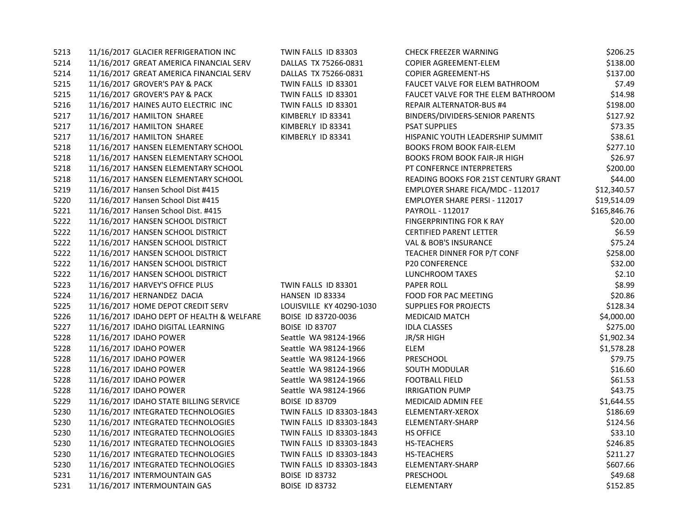| 5213 | 11/16/2017 GLACIER REFRIGERATION INC      | TWIN FALLS ID 83303      | <b>CHECK FREEZER WARNING</b>         | \$206.25     |
|------|-------------------------------------------|--------------------------|--------------------------------------|--------------|
| 5214 | 11/16/2017 GREAT AMERICA FINANCIAL SERV   | DALLAS TX 75266-0831     | <b>COPIER AGREEMENT-ELEM</b>         | \$138.00     |
| 5214 | 11/16/2017 GREAT AMERICA FINANCIAL SERV   | DALLAS TX 75266-0831     | <b>COPIER AGREEMENT-HS</b>           | \$137.00     |
| 5215 | 11/16/2017 GROVER'S PAY & PACK            | TWIN FALLS ID 83301      | FAUCET VALVE FOR ELEM BATHROOM       | \$7.49       |
| 5215 | 11/16/2017 GROVER'S PAY & PACK            | TWIN FALLS ID 83301      | FAUCET VALVE FOR THE ELEM BATHROOM   | \$14.98      |
| 5216 | 11/16/2017 HAINES AUTO ELECTRIC INC       | TWIN FALLS ID 83301      | <b>REPAIR ALTERNATOR-BUS #4</b>      | \$198.00     |
| 5217 | 11/16/2017 HAMILTON SHAREE                | KIMBERLY ID 83341        | BINDERS/DIVIDERS-SENIOR PARENTS      | \$127.92     |
| 5217 | 11/16/2017 HAMILTON SHAREE                | KIMBERLY ID 83341        | <b>PSAT SUPPLIES</b>                 | \$73.35      |
| 5217 | 11/16/2017 HAMILTON SHAREE                | KIMBERLY ID 83341        | HISPANIC YOUTH LEADERSHIP SUMMIT     | \$38.61      |
| 5218 | 11/16/2017 HANSEN ELEMENTARY SCHOOL       |                          | <b>BOOKS FROM BOOK FAIR-ELEM</b>     | \$277.10     |
| 5218 | 11/16/2017 HANSEN ELEMENTARY SCHOOL       |                          | <b>BOOKS FROM BOOK FAIR-JR HIGH</b>  | \$26.97      |
| 5218 | 11/16/2017 HANSEN ELEMENTARY SCHOOL       |                          | PT CONFERNCE INTERPRETERS            | \$200.00     |
| 5218 | 11/16/2017 HANSEN ELEMENTARY SCHOOL       |                          | READING BOOKS FOR 21ST CENTURY GRANT | \$44.00      |
| 5219 | 11/16/2017 Hansen School Dist #415        |                          | EMPLOYER SHARE FICA/MDC - 112017     | \$12,340.57  |
| 5220 | 11/16/2017 Hansen School Dist #415        |                          | EMPLOYER SHARE PERSI - 112017        | \$19,514.09  |
| 5221 | 11/16/2017 Hansen School Dist. #415       |                          | PAYROLL - 112017                     | \$165,846.76 |
| 5222 | 11/16/2017 HANSEN SCHOOL DISTRICT         |                          | FINGERPRINTING FOR K RAY             | \$20.00      |
| 5222 | 11/16/2017 HANSEN SCHOOL DISTRICT         |                          | <b>CERTIFIED PARENT LETTER</b>       | \$6.59       |
| 5222 | 11/16/2017 HANSEN SCHOOL DISTRICT         |                          | VAL & BOB'S INSURANCE                | \$75.24      |
| 5222 | 11/16/2017 HANSEN SCHOOL DISTRICT         |                          | TEACHER DINNER FOR P/T CONF          | \$258.00     |
| 5222 | 11/16/2017 HANSEN SCHOOL DISTRICT         |                          | <b>P20 CONFERENCE</b>                | \$32.00      |
| 5222 | 11/16/2017 HANSEN SCHOOL DISTRICT         |                          | LUNCHROOM TAXES                      | \$2.10       |
| 5223 | 11/16/2017 HARVEY'S OFFICE PLUS           | TWIN FALLS ID 83301      | <b>PAPER ROLL</b>                    | \$8.99       |
| 5224 | 11/16/2017 HERNANDEZ DACIA                | HANSEN ID 83334          | FOOD FOR PAC MEETING                 | \$20.86      |
| 5225 | 11/16/2017 HOME DEPOT CREDIT SERV         | LOUISVILLE KY 40290-1030 | <b>SUPPLIES FOR PROJECTS</b>         | \$128.34     |
| 5226 | 11/16/2017 IDAHO DEPT OF HEALTH & WELFARE | BOISE ID 83720-0036      | <b>MEDICAID MATCH</b>                | \$4,000.00   |
| 5227 | 11/16/2017 IDAHO DIGITAL LEARNING         | <b>BOISE ID 83707</b>    | <b>IDLA CLASSES</b>                  | \$275.00     |
| 5228 | 11/16/2017 IDAHO POWER                    | Seattle WA 98124-1966    | JR/SR HIGH                           | \$1,902.34   |
| 5228 | 11/16/2017 IDAHO POWER                    | Seattle WA 98124-1966    | ELEM                                 | \$1,578.28   |
| 5228 | 11/16/2017 IDAHO POWER                    | Seattle WA 98124-1966    | PRESCHOOL                            | \$79.75      |
| 5228 | 11/16/2017 IDAHO POWER                    | Seattle WA 98124-1966    | SOUTH MODULAR                        | \$16.60      |
| 5228 | 11/16/2017 IDAHO POWER                    | Seattle WA 98124-1966    | <b>FOOTBALL FIELD</b>                | \$61.53      |
| 5228 | 11/16/2017 IDAHO POWER                    | Seattle WA 98124-1966    | <b>IRRIGATION PUMP</b>               | \$43.75      |
| 5229 | 11/16/2017 IDAHO STATE BILLING SERVICE    | <b>BOISE ID 83709</b>    | MEDICAID ADMIN FEE                   | \$1,644.55   |
| 5230 | 11/16/2017 INTEGRATED TECHNOLOGIES        | TWIN FALLS ID 83303-1843 | ELEMENTARY-XEROX                     | \$186.69     |
| 5230 | 11/16/2017 INTEGRATED TECHNOLOGIES        | TWIN FALLS ID 83303-1843 | ELEMENTARY-SHARP                     | \$124.56     |
| 5230 | 11/16/2017 INTEGRATED TECHNOLOGIES        | TWIN FALLS ID 83303-1843 | <b>HS OFFICE</b>                     | \$33.10      |
| 5230 | 11/16/2017 INTEGRATED TECHNOLOGIES        | TWIN FALLS ID 83303-1843 | <b>HS-TEACHERS</b>                   | \$246.85     |
| 5230 | 11/16/2017 INTEGRATED TECHNOLOGIES        | TWIN FALLS ID 83303-1843 | <b>HS-TEACHERS</b>                   | \$211.27     |
| 5230 | 11/16/2017 INTEGRATED TECHNOLOGIES        | TWIN FALLS ID 83303-1843 | ELEMENTARY-SHARP                     | \$607.66     |
| 5231 | 11/16/2017 INTERMOUNTAIN GAS              | <b>BOISE ID 83732</b>    | PRESCHOOL                            | \$49.68      |
| 5231 | 11/16/2017 INTERMOUNTAIN GAS              | <b>BOISE ID 83732</b>    | ELEMENTARY                           | \$152.85     |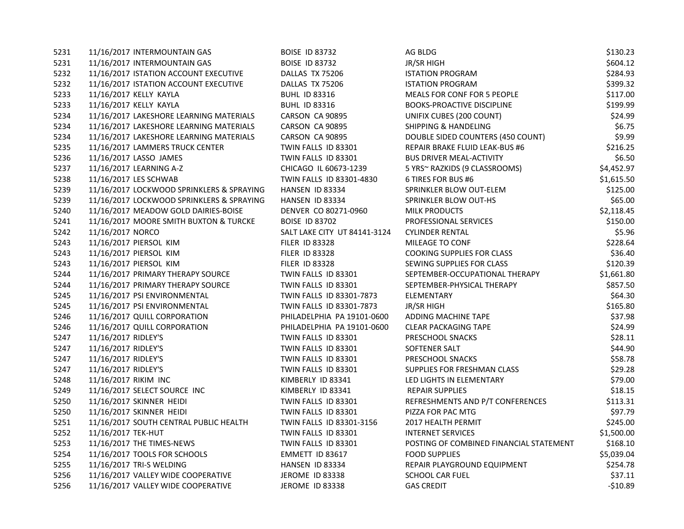| 5231 | 11/16/2017 INTERMOUNTAIN GAS              | <b>BOISE ID 83732</b>        | AG BLDG                                 | \$130.23   |
|------|-------------------------------------------|------------------------------|-----------------------------------------|------------|
| 5231 | 11/16/2017 INTERMOUNTAIN GAS              | <b>BOISE ID 83732</b>        | JR/SR HIGH                              | \$604.12   |
| 5232 | 11/16/2017 ISTATION ACCOUNT EXECUTIVE     | DALLAS TX 75206              | <b>ISTATION PROGRAM</b>                 | \$284.93   |
| 5232 | 11/16/2017 ISTATION ACCOUNT EXECUTIVE     | DALLAS TX 75206              | <b>ISTATION PROGRAM</b>                 | \$399.32   |
| 5233 | 11/16/2017 KELLY KAYLA                    | <b>BUHL ID 83316</b>         | MEALS FOR CONF FOR 5 PEOPLE             | \$117.00   |
| 5233 | 11/16/2017 KELLY KAYLA                    | <b>BUHL ID 83316</b>         | <b>BOOKS-PROACTIVE DISCIPLINE</b>       | \$199.99   |
| 5234 | 11/16/2017 LAKESHORE LEARNING MATERIALS   | CARSON CA 90895              | UNIFIX CUBES (200 COUNT)                | \$24.99    |
| 5234 | 11/16/2017 LAKESHORE LEARNING MATERIALS   | CARSON CA 90895              | <b>SHIPPING &amp; HANDELING</b>         | \$6.75     |
| 5234 | 11/16/2017 LAKESHORE LEARNING MATERIALS   | CARSON CA 90895              | DOUBLE SIDED COUNTERS (450 COUNT)       | \$9.99     |
| 5235 | 11/16/2017 LAMMERS TRUCK CENTER           | TWIN FALLS ID 83301          | REPAIR BRAKE FLUID LEAK-BUS #6          | \$216.25   |
| 5236 | 11/16/2017 LASSO JAMES                    | TWIN FALLS ID 83301          | <b>BUS DRIVER MEAL-ACTIVITY</b>         | \$6.50     |
| 5237 | 11/16/2017 LEARNING A-Z                   | CHICAGO IL 60673-1239        | 5 YRS~ RAZKIDS (9 CLASSROOMS)           | \$4,452.97 |
| 5238 | 11/16/2017 LES SCHWAB                     | TWIN FALLS ID 83301-4830     | 6 TIRES FOR BUS #6                      | \$1,615.50 |
| 5239 | 11/16/2017 LOCKWOOD SPRINKLERS & SPRAYING | HANSEN ID 83334              | SPRINKLER BLOW OUT-ELEM                 | \$125.00   |
| 5239 | 11/16/2017 LOCKWOOD SPRINKLERS & SPRAYING | HANSEN ID 83334              | SPRINKLER BLOW OUT-HS                   | \$65.00    |
| 5240 | 11/16/2017 MEADOW GOLD DAIRIES-BOISE      | DENVER CO 80271-0960         | <b>MILK PRODUCTS</b>                    | \$2,118.45 |
| 5241 | 11/16/2017 MOORE SMITH BUXTON & TURCKE    | <b>BOISE ID 83702</b>        | PROFESSIONAL SERVICES                   | \$150.00   |
| 5242 | 11/16/2017 NORCO                          | SALT LAKE CITY UT 84141-3124 | <b>CYLINDER RENTAL</b>                  | \$5.96     |
| 5243 | 11/16/2017 PIERSOL KIM                    | <b>FILER ID 83328</b>        | MILEAGE TO CONF                         | \$228.64   |
| 5243 | 11/16/2017 PIERSOL KIM                    | <b>FILER ID 83328</b>        | COOKING SUPPLIES FOR CLASS              | \$36.40    |
| 5243 | 11/16/2017 PIERSOL KIM                    | <b>FILER ID 83328</b>        | SEWING SUPPLIES FOR CLASS               | \$120.39   |
| 5244 | 11/16/2017 PRIMARY THERAPY SOURCE         | TWIN FALLS ID 83301          | SEPTEMBER-OCCUPATIONAL THERAPY          | \$1,661.80 |
| 5244 | 11/16/2017 PRIMARY THERAPY SOURCE         | TWIN FALLS ID 83301          | SEPTEMBER-PHYSICAL THERAPY              | \$857.50   |
| 5245 | 11/16/2017 PSI ENVIRONMENTAL              | TWIN FALLS ID 83301-7873     | ELEMENTARY                              | \$64.30    |
| 5245 | 11/16/2017 PSI ENVIRONMENTAL              | TWIN FALLS ID 83301-7873     | JR/SR HIGH                              | \$165.80   |
| 5246 | 11/16/2017 QUILL CORPORATION              | PHILADELPHIA PA 19101-0600   | ADDING MACHINE TAPE                     | \$37.98    |
| 5246 | 11/16/2017 QUILL CORPORATION              | PHILADELPHIA PA 19101-0600   | <b>CLEAR PACKAGING TAPE</b>             | \$24.99    |
| 5247 | 11/16/2017 RIDLEY'S                       | TWIN FALLS ID 83301          | PRESCHOOL SNACKS                        | \$28.11    |
| 5247 | 11/16/2017 RIDLEY'S                       | TWIN FALLS ID 83301          | SOFTENER SALT                           | \$44.90    |
| 5247 | 11/16/2017 RIDLEY'S                       | TWIN FALLS ID 83301          | PRESCHOOL SNACKS                        | \$58.78    |
| 5247 | 11/16/2017 RIDLEY'S                       | TWIN FALLS ID 83301          | SUPPLIES FOR FRESHMAN CLASS             | \$29.28    |
| 5248 | 11/16/2017 RIKIM INC                      | KIMBERLY ID 83341            | LED LIGHTS IN ELEMENTARY                | \$79.00    |
| 5249 | 11/16/2017 SELECT SOURCE INC              | KIMBERLY ID 83341            | REPAIR SUPPLIES                         | \$18.15    |
| 5250 | 11/16/2017 SKINNER HEIDI                  | TWIN FALLS ID 83301          | REFRESHMENTS AND P/T CONFERENCES        | \$113.31   |
| 5250 | 11/16/2017 SKINNER HEIDI                  | TWIN FALLS ID 83301          | PIZZA FOR PAC MTG                       | \$97.79    |
| 5251 | 11/16/2017 SOUTH CENTRAL PUBLIC HEALTH    | TWIN FALLS ID 83301-3156     | 2017 HEALTH PERMIT                      | \$245.00   |
| 5252 | 11/16/2017 TEK-HUT                        | TWIN FALLS ID 83301          | <b>INTERNET SERVICES</b>                | \$1,500.00 |
| 5253 | 11/16/2017 THE TIMES-NEWS                 | TWIN FALLS ID 83301          | POSTING OF COMBINED FINANCIAL STATEMENT | \$168.10   |
| 5254 | 11/16/2017 TOOLS FOR SCHOOLS              | EMMETT ID 83617              | <b>FOOD SUPPLIES</b>                    | \$5,039.04 |
| 5255 | 11/16/2017 TRI-S WELDING                  | HANSEN ID 83334              | REPAIR PLAYGROUND EQUIPMENT             | \$254.78   |
| 5256 | 11/16/2017 VALLEY WIDE COOPERATIVE        | JEROME ID 83338              | <b>SCHOOL CAR FUEL</b>                  | \$37.11    |
| 5256 | 11/16/2017 VALLEY WIDE COOPERATIVE        | <b>JEROME ID 83338</b>       | <b>GAS CREDIT</b>                       | $-510.89$  |